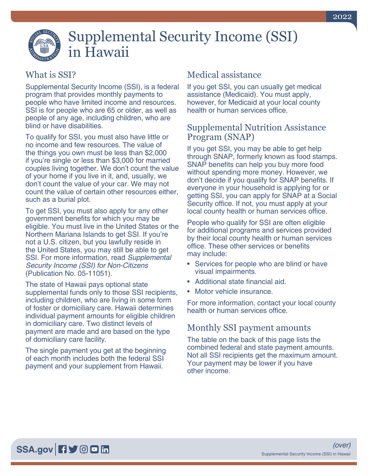# Supplemental Security Income (SSI) in Hawaii

## What is SSI?

Supplemental Security Income (SSI), is a federal program that provides monthly payments to people who have limited income and resources. SSI is for people who are 65 or older, as well as people of any age, including children, who are blind or have disabilities.

To qualify for SSI, you must also have little or no income and few resources. The value of the things you own must be less than \$2,000 if you're single or less than \$3,000 for married couples living together. We don't count the value of your home if you live in it, and, usually, we don't count the value of your car. We may not count the value of certain other resources either, such as a burial plot.

To get SSI, you must also apply for any other government benefits for which you may be eligible. You must live in the United States or the Northern Mariana Islands to get SSI. If you're not a U.S. citizen, but you lawfully reside in the United States, you may still be able to get SSI. For more information, read *[Supplemental](https://www.ssa.gov/pubs/EN-05-11051.pdf)  [Security Income \(SSI\) for Non-Citizens](https://www.ssa.gov/pubs/EN-05-11051.pdf)* [\(Publication No. 05-11051\).](https://www.ssa.gov/pubs/EN-05-11051.pdf)

The state of Hawaii pays optional state supplemental funds only to those SSI recipients, including children, who are living in some form of foster or domiciliary care. Hawaii determines individual payment amounts for eligible children in domiciliary care. Two distinct levels of payment are made and are based on the type of domiciliary care facility.

The single payment you get at the beginning of each month includes both the federal SSI payment and your supplement from Hawaii.

## Medical assistance

If you get SSI, you can usually get medical assistance (Medicaid). You must apply, however, for Medicaid at your local county health or human services office.

#### Supplemental Nutrition Assistance Program (SNAP)

If you get SSI, you may be able to get help through SNAP, formerly known as food stamps. SNAP benefits can help you buy more food without spending more money. However, we don't decide if you qualify for SNAP benefits. If everyone in your household is applying for or getting SSI, you can apply for SNAP at a Social Security office. If not, you must apply at your local county health or human services office.

People who qualify for SSI are often eligible for additional programs and services provided by their local county health or human services office. These other services or benefits may include:

- Services for people who are blind or have visual impairments.
- Additional state financial aid.
- Motor vehicle insurance.

For more information, contact your local county health or human services office.

#### Monthly SSI payment amounts

The table on the back of this page lists the combined federal and state payment amounts. Not all SSI recipients get the maximum amount. Your payment may be lower if you have other income.